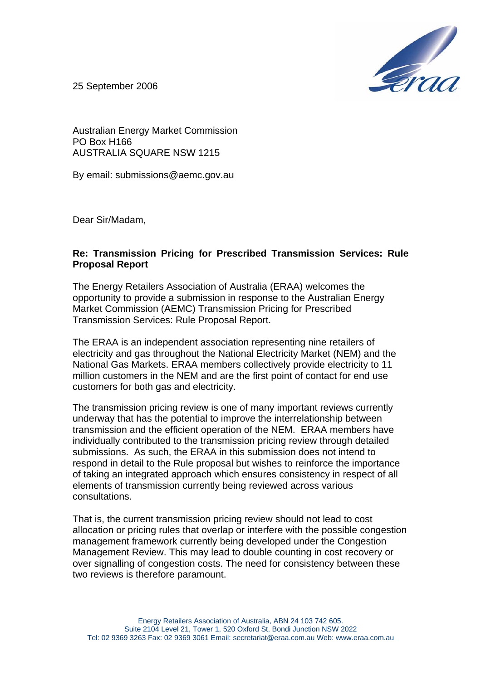

25 September 2006

Australian Energy Market Commission PO Box H166 AUSTRALIA SQUARE NSW 1215

By email: submissions@aemc.gov.au

Dear Sir/Madam,

## **Re: Transmission Pricing for Prescribed Transmission Services: Rule Proposal Report**

The Energy Retailers Association of Australia (ERAA) welcomes the opportunity to provide a submission in response to the Australian Energy Market Commission (AEMC) Transmission Pricing for Prescribed Transmission Services: Rule Proposal Report.

The ERAA is an independent association representing nine retailers of electricity and gas throughout the National Electricity Market (NEM) and the National Gas Markets. ERAA members collectively provide electricity to 11 million customers in the NEM and are the first point of contact for end use customers for both gas and electricity.

The transmission pricing review is one of many important reviews currently underway that has the potential to improve the interrelationship between transmission and the efficient operation of the NEM. ERAA members have individually contributed to the transmission pricing review through detailed submissions. As such, the ERAA in this submission does not intend to respond in detail to the Rule proposal but wishes to reinforce the importance of taking an integrated approach which ensures consistency in respect of all elements of transmission currently being reviewed across various consultations.

That is, the current transmission pricing review should not lead to cost allocation or pricing rules that overlap or interfere with the possible congestion management framework currently being developed under the Congestion Management Review. This may lead to double counting in cost recovery or over signalling of congestion costs. The need for consistency between these two reviews is therefore paramount.